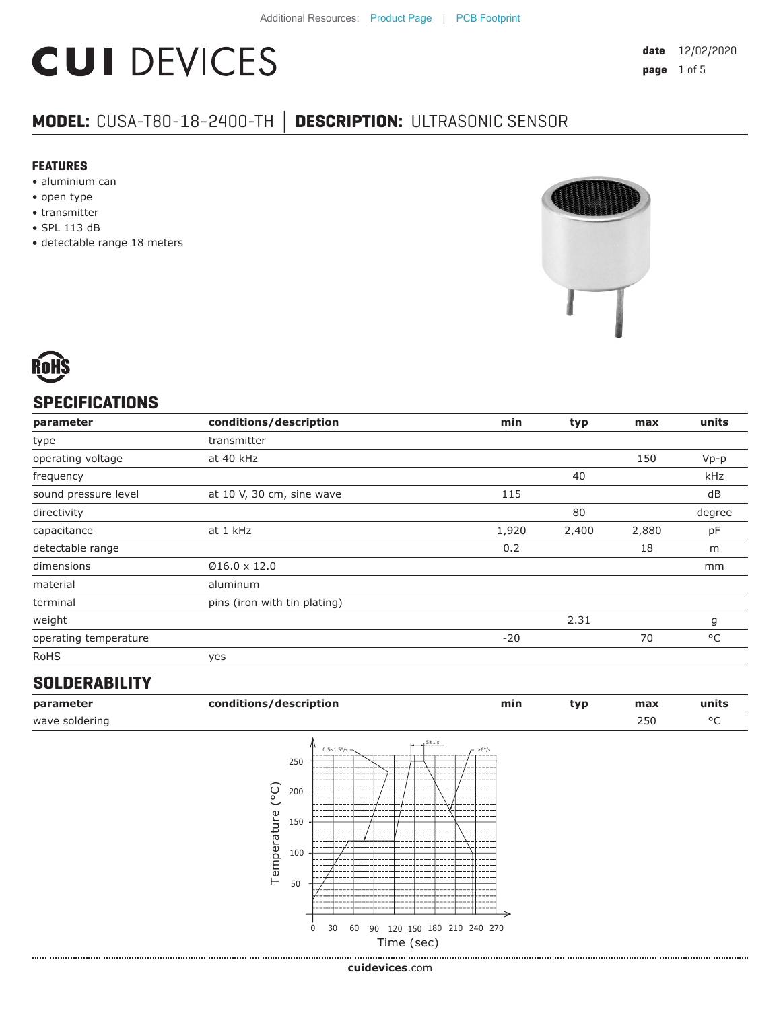# **CUI DEVICES**

### **MODEL:** CUSA-T80-18-2400-TH **│ DESCRIPTION:** ULTRASONIC SENSOR

#### **FEATURES**

- aluminium can
- open type
- transmitter
- SPL 113 dB
- detectable range 18 meters





#### **SPECIFICATIONS**

| parameter             | conditions/description       | min   | typ   | max   | units  |
|-----------------------|------------------------------|-------|-------|-------|--------|
| type                  | transmitter                  |       |       |       |        |
| operating voltage     | at 40 kHz                    |       |       | 150   | $Vp-p$ |
| frequency             |                              |       | 40    |       | kHz    |
| sound pressure level  | at 10 V, 30 cm, sine wave    | 115   |       |       | dB     |
| directivity           |                              |       | 80    |       | degree |
| capacitance           | at 1 kHz                     | 1,920 | 2,400 | 2,880 | pF     |
| detectable range      |                              | 0.2   |       | 18    | m      |
| dimensions            | $Ø16.0 \times 12.0$          |       |       |       | mm     |
| material              | aluminum                     |       |       |       |        |
| terminal              | pins (iron with tin plating) |       |       |       |        |
| weight                |                              |       | 2.31  |       | g      |
| operating temperature |                              | $-20$ |       | 70    | °C     |
| <b>RoHS</b>           | yes                          |       |       |       |        |

#### **SOLDERABILITY**

|                                |                                                                                               |                        |           | min | typ                                      | max | units |
|--------------------------------|-----------------------------------------------------------------------------------------------|------------------------|-----------|-----|------------------------------------------|-----|-------|
|                                |                                                                                               |                        |           |     |                                          | 250 | °C    |
| $\widetilde{C}$<br>Temperature | $0.5 \sim 1.5^{\circ}/s$ -<br>250<br>----<br>----<br>200<br>150<br>100<br>50<br>0<br>30<br>60 | $5 + 1s$               | $-$ >6°/s |     |                                          |     |       |
|                                |                                                                                               | conditions/description |           |     | 90 120 150 180 210 240 270<br>Time (sec) |     |       |

**cui[devices](https://www.cuidevices.com/track?actionLabel=Datasheet-ClickThrough-HomePage&label=CUSA-T80-18-2400-TH.pdf&path=/)**.com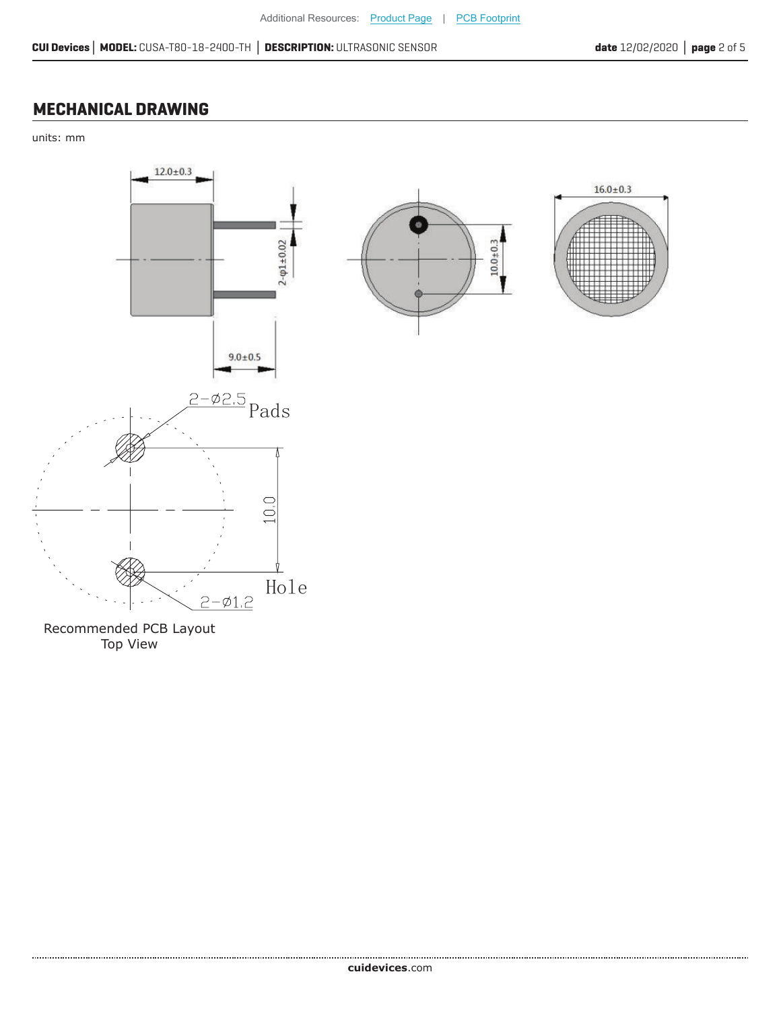#### **MECHANICAL DRAWING**

units: mm



Recommended PCB Layout Top View

.....................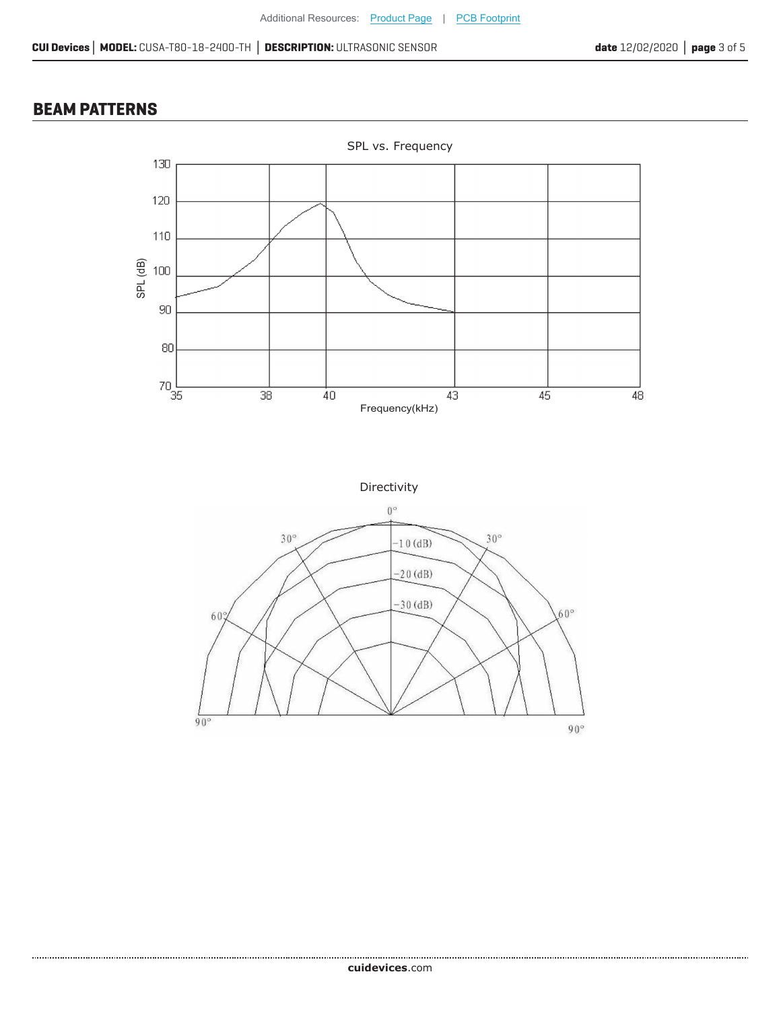#### **BEAM PATTERNS**

....................



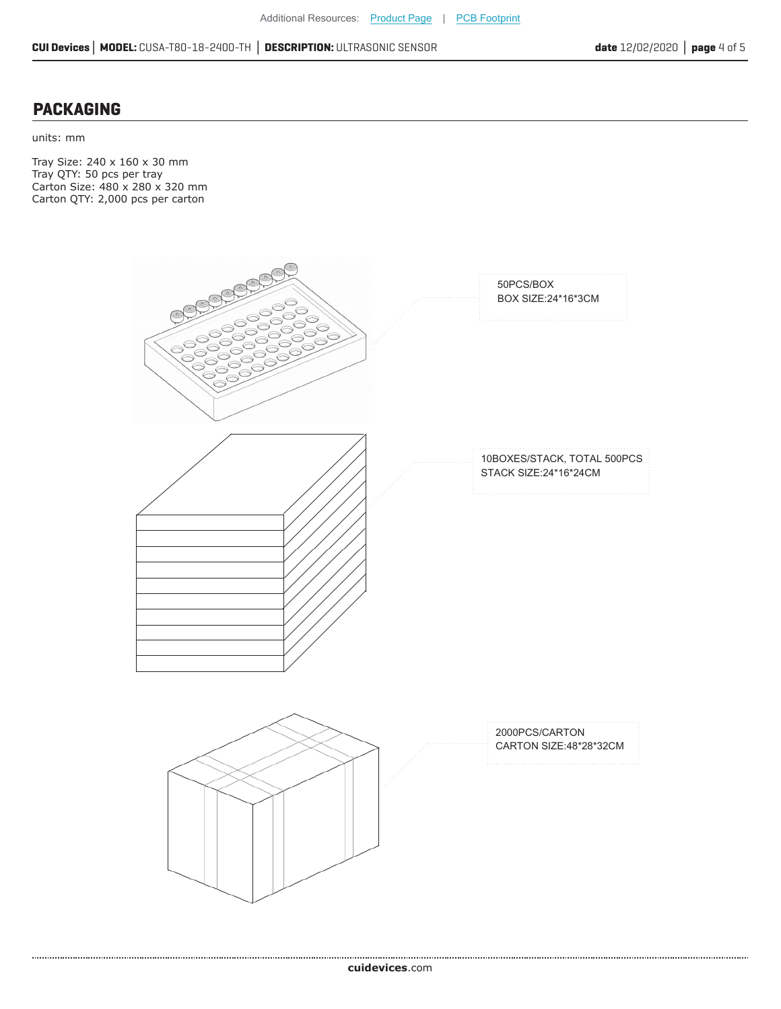#### **PACKAGING**

units: mm

Tray Size: 240 x 160 x 30 mm Tray QTY: 50 pcs per tray Carton Size: 480 x 280 x 320 mm Carton QTY: 2,000 pcs per carton